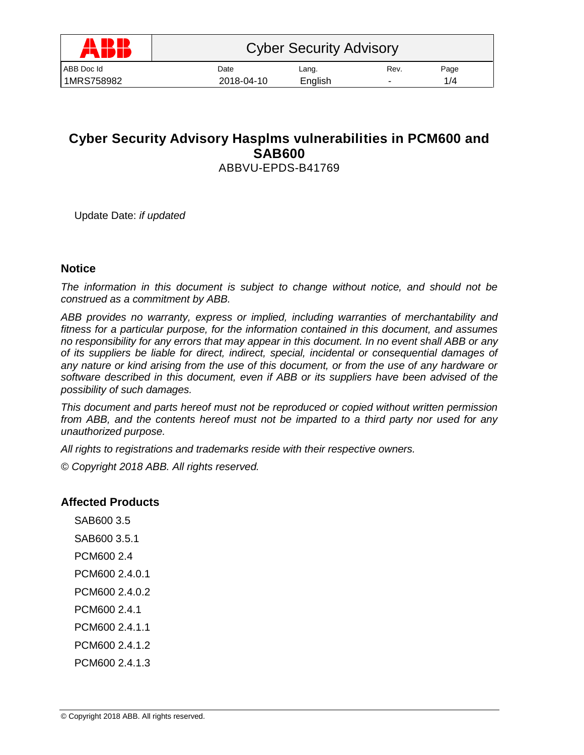| <b>ADD</b><br>W | <b>Cyber Security Advisory</b> |         |                          |      |  |
|-----------------|--------------------------------|---------|--------------------------|------|--|
| ABB Doc Id      | Date                           | Lang.   | Rev.                     | Page |  |
| 1MRS758982      | 2018-04-10                     | English | $\overline{\phantom{0}}$ | 1/4  |  |
|                 |                                |         |                          |      |  |

# **Cyber Security Advisory Hasplms vulnerabilities in PCM600 and SAB600** ABBVU-EPDS-B41769

Update Date: *if updated*

### **Notice**

*The information in this document is subject to change without notice, and should not be construed as a commitment by ABB.* 

*ABB provides no warranty, express or implied, including warranties of merchantability and fitness for a particular purpose, for the information contained in this document, and assumes no responsibility for any errors that may appear in this document. In no event shall ABB or any of its suppliers be liable for direct, indirect, special, incidental or consequential damages of any nature or kind arising from the use of this document, or from the use of any hardware or software described in this document, even if ABB or its suppliers have been advised of the possibility of such damages.*

*This document and parts hereof must not be reproduced or copied without written permission from ABB, and the contents hereof must not be imparted to a third party nor used for any unauthorized purpose.*

*All rights to registrations and trademarks reside with their respective owners.*

*© Copyright 2018 ABB. All rights reserved.*

### **Affected Products**

SAB600 3.5 SAB600 3.5.1 PCM600 2.4 PCM600 2.4.0.1 PCM600 2.4.0.2 PCM600 2.4.1 PCM600 2.4.1.1 PCM600 2.4.1.2 PCM600 2.4.1.3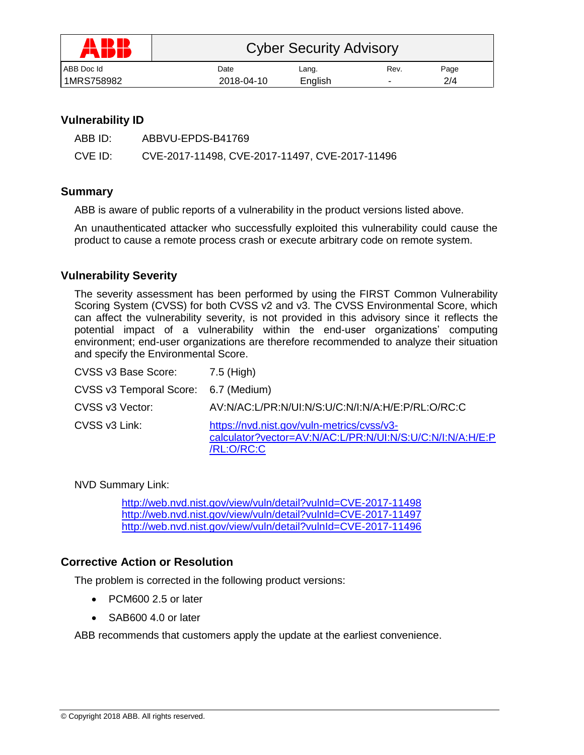| AN ED ED<br>FW 1 | <b>Cyber Security Advisory</b> |         |      |      |
|------------------|--------------------------------|---------|------|------|
| ABB Doc Id       | Date                           | Lang.   | Rev. | Page |
| 1MRS758982       | 2018-04-10                     | English |      | 2/4  |

# **Vulnerability ID**

| ABB ID: | ABBVU-EPDS-B41769                              |
|---------|------------------------------------------------|
| CVE ID: | CVE-2017-11498, CVE-2017-11497, CVE-2017-11496 |

## **Summary**

ABB is aware of public reports of a vulnerability in the product versions listed above.

An unauthenticated attacker who successfully exploited this vulnerability could cause the product to cause a remote process crash or execute arbitrary code on remote system.

## **Vulnerability Severity**

The severity assessment has been performed by using the FIRST Common Vulnerability Scoring System (CVSS) for both CVSS v2 and v3. The CVSS Environmental Score, which can affect the vulnerability severity, is not provided in this advisory since it reflects the potential impact of a vulnerability within the end-user organizations' computing environment; end-user organizations are therefore recommended to analyze their situation and specify the Environmental Score.

| CVSS v3 Base Score:                  | 7.5 (High)                                                                                                            |
|--------------------------------------|-----------------------------------------------------------------------------------------------------------------------|
| CVSS v3 Temporal Score: 6.7 (Medium) |                                                                                                                       |
| CVSS v3 Vector:                      | AV:N/AC:L/PR:N/UI:N/S:U/C:N/I:N/A:H/E:P/RL:O/RC:C                                                                     |
| CVSS v3 Link:                        | https://nvd.nist.gov/vuln-metrics/cvss/v3-<br>calculator?vector=AV:N/AC:L/PR:N/UI:N/S:U/C:N/I:N/A:H/E:P<br>/RL:O/RC:C |

NVD Summary Link:

<http://web.nvd.nist.gov/view/vuln/detail?vulnId=CVE-2017-11498> <http://web.nvd.nist.gov/view/vuln/detail?vulnId=CVE-2017-11497> <http://web.nvd.nist.gov/view/vuln/detail?vulnId=CVE-2017-11496>

# **Corrective Action or Resolution**

The problem is corrected in the following product versions:

- PCM600 2.5 or later
- SAB600 4.0 or later

ABB recommends that customers apply the update at the earliest convenience.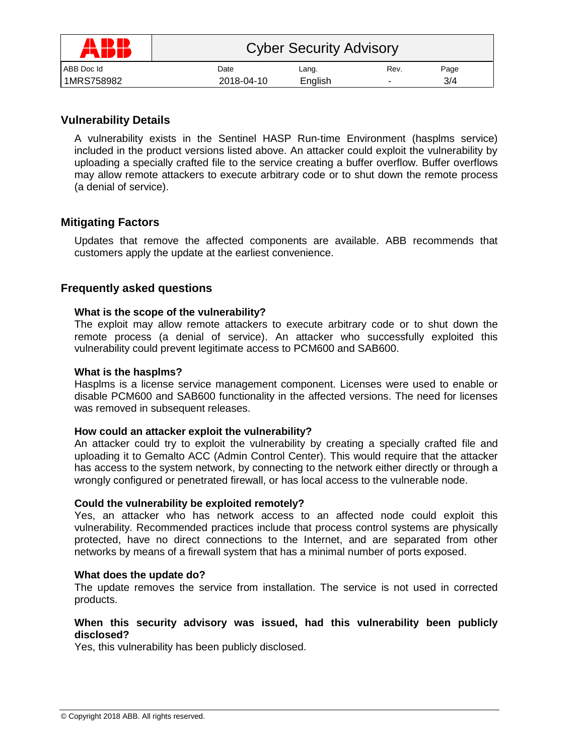| AN ED ED<br>77 IDI | <b>Cyber Security Advisory</b> |         |      |      |
|--------------------|--------------------------------|---------|------|------|
| ABB Doc Id         | Date                           | Lang.   | Rev. | Page |
| 1MRS758982         | 2018-04-10                     | English | -    | 3/4  |

# **Vulnerability Details**

A vulnerability exists in the Sentinel HASP Run‐time Environment (hasplms service) included in the product versions listed above. An attacker could exploit the vulnerability by uploading a specially crafted file to the service creating a buffer overflow. Buffer overflows may allow remote attackers to execute arbitrary code or to shut down the remote process (a denial of service).

# **Mitigating Factors**

Updates that remove the affected components are available. ABB recommends that customers apply the update at the earliest convenience.

# **Frequently asked questions**

### **What is the scope of the vulnerability?**

The exploit may allow remote attackers to execute arbitrary code or to shut down the remote process (a denial of service). An attacker who successfully exploited this vulnerability could prevent legitimate access to PCM600 and SAB600.

#### **What is the hasplms?**

Hasplms is a license service management component. Licenses were used to enable or disable PCM600 and SAB600 functionality in the affected versions. The need for licenses was removed in subsequent releases.

### **How could an attacker exploit the vulnerability?**

An attacker could try to exploit the vulnerability by creating a specially crafted file and uploading it to Gemalto ACC (Admin Control Center). This would require that the attacker has access to the system network, by connecting to the network either directly or through a wrongly configured or penetrated firewall, or has local access to the vulnerable node.

### **Could the vulnerability be exploited remotely?**

Yes, an attacker who has network access to an affected node could exploit this vulnerability. Recommended practices include that process control systems are physically protected, have no direct connections to the Internet, and are separated from other networks by means of a firewall system that has a minimal number of ports exposed.

#### **What does the update do?**

The update removes the service from installation. The service is not used in corrected products.

#### **When this security advisory was issued, had this vulnerability been publicly disclosed?**

Yes, this vulnerability has been publicly disclosed.